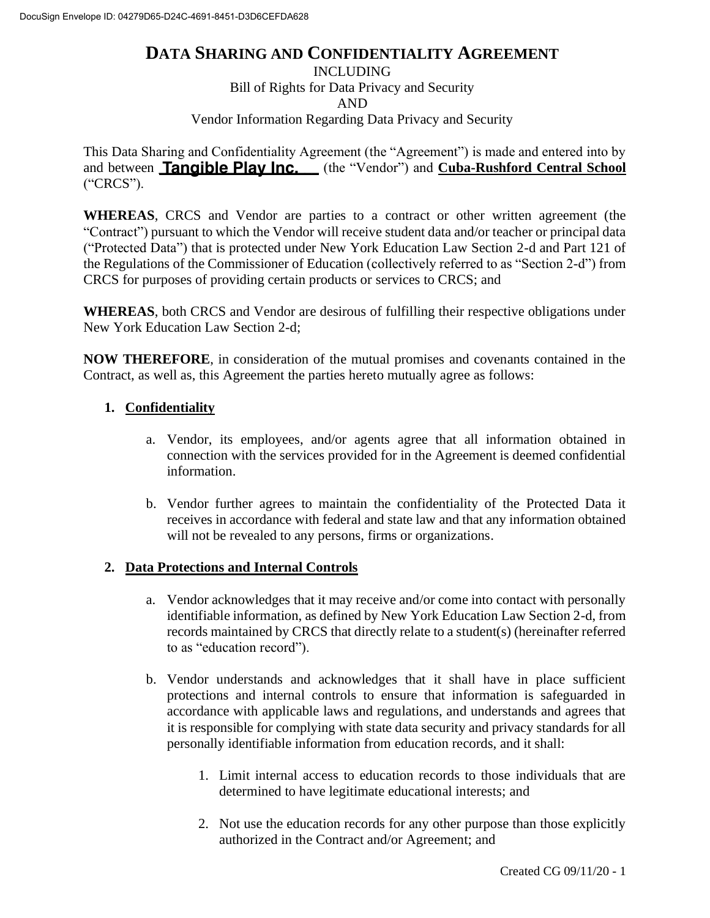## **DATA SHARING AND CONFIDENTIALITY AGREEMENT**

INCLUDING

Bill of Rights for Data Privacy and Security

AND

Vendor Information Regarding Data Privacy and Security

This Data Sharing and Confidentiality Agreement (the "Agreement") is made and entered into by and between **Tangible Play Inc.** (the "Vendor") and **Cuba-Rushford Central School** ("CRCS").

**WHEREAS**, CRCS and Vendor are parties to a contract or other written agreement (the "Contract") pursuant to which the Vendor will receive student data and/or teacher or principal data ("Protected Data") that is protected under New York Education Law Section 2-d and Part 121 of the Regulations of the Commissioner of Education (collectively referred to as "Section 2-d") from CRCS for purposes of providing certain products or services to CRCS; and

**WHEREAS**, both CRCS and Vendor are desirous of fulfilling their respective obligations under New York Education Law Section 2-d;

**NOW THEREFORE**, in consideration of the mutual promises and covenants contained in the Contract, as well as, this Agreement the parties hereto mutually agree as follows:

## **1. Confidentiality**

- a. Vendor, its employees, and/or agents agree that all information obtained in connection with the services provided for in the Agreement is deemed confidential information.
- b. Vendor further agrees to maintain the confidentiality of the Protected Data it receives in accordance with federal and state law and that any information obtained will not be revealed to any persons, firms or organizations.

#### **2. Data Protections and Internal Controls**

- a. Vendor acknowledges that it may receive and/or come into contact with personally identifiable information, as defined by New York Education Law Section 2-d, from records maintained by CRCS that directly relate to a student(s) (hereinafter referred to as "education record").
- b. Vendor understands and acknowledges that it shall have in place sufficient protections and internal controls to ensure that information is safeguarded in accordance with applicable laws and regulations, and understands and agrees that it is responsible for complying with state data security and privacy standards for all personally identifiable information from education records, and it shall:
	- 1. Limit internal access to education records to those individuals that are determined to have legitimate educational interests; and
	- 2. Not use the education records for any other purpose than those explicitly authorized in the Contract and/or Agreement; and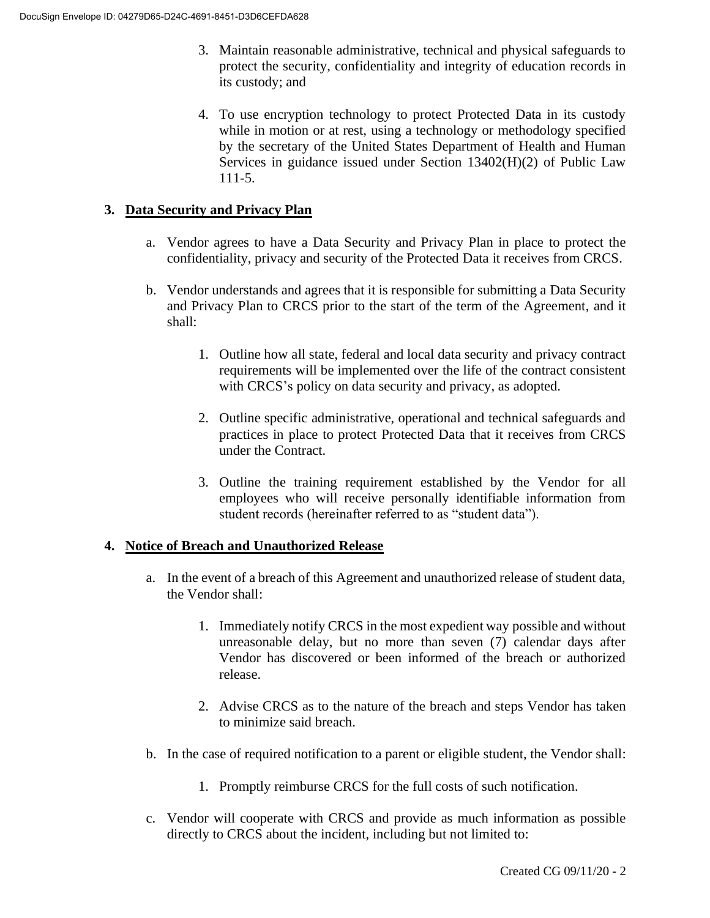- 3. Maintain reasonable administrative, technical and physical safeguards to protect the security, confidentiality and integrity of education records in its custody; and
- 4. To use encryption technology to protect Protected Data in its custody while in motion or at rest, using a technology or methodology specified by the secretary of the United States Department of Health and Human Services in guidance issued under Section 13402(H)(2) of Public Law 111-5.

## **3. Data Security and Privacy Plan**

- a. Vendor agrees to have a Data Security and Privacy Plan in place to protect the confidentiality, privacy and security of the Protected Data it receives from CRCS.
- b. Vendor understands and agrees that it is responsible for submitting a Data Security and Privacy Plan to CRCS prior to the start of the term of the Agreement, and it shall:
	- 1. Outline how all state, federal and local data security and privacy contract requirements will be implemented over the life of the contract consistent with CRCS's policy on data security and privacy, as adopted.
	- 2. Outline specific administrative, operational and technical safeguards and practices in place to protect Protected Data that it receives from CRCS under the Contract.
	- 3. Outline the training requirement established by the Vendor for all employees who will receive personally identifiable information from student records (hereinafter referred to as "student data").

#### **4. Notice of Breach and Unauthorized Release**

- a. In the event of a breach of this Agreement and unauthorized release of student data, the Vendor shall:
	- 1. Immediately notify CRCS in the most expedient way possible and without unreasonable delay, but no more than seven (7) calendar days after Vendor has discovered or been informed of the breach or authorized release.
	- 2. Advise CRCS as to the nature of the breach and steps Vendor has taken to minimize said breach.
- b. In the case of required notification to a parent or eligible student, the Vendor shall:
	- 1. Promptly reimburse CRCS for the full costs of such notification.
- c. Vendor will cooperate with CRCS and provide as much information as possible directly to CRCS about the incident, including but not limited to: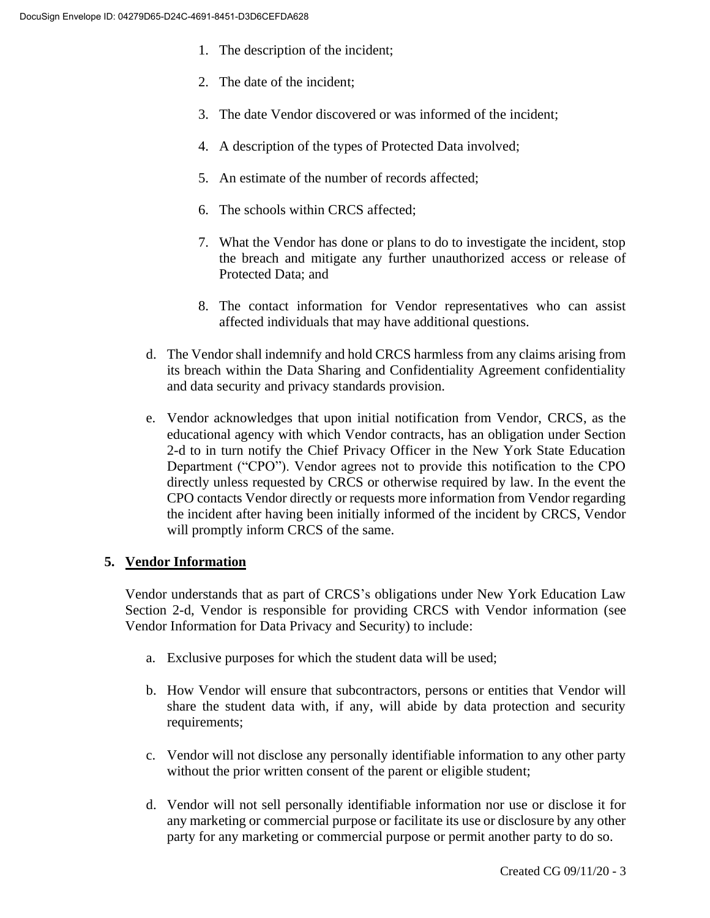- 1. The description of the incident;
- 2. The date of the incident;
- 3. The date Vendor discovered or was informed of the incident;
- 4. A description of the types of Protected Data involved;
- 5. An estimate of the number of records affected;
- 6. The schools within CRCS affected;
- 7. What the Vendor has done or plans to do to investigate the incident, stop the breach and mitigate any further unauthorized access or release of Protected Data; and
- 8. The contact information for Vendor representatives who can assist affected individuals that may have additional questions.
- d. The Vendor shall indemnify and hold CRCS harmless from any claims arising from its breach within the Data Sharing and Confidentiality Agreement confidentiality and data security and privacy standards provision.
- e. Vendor acknowledges that upon initial notification from Vendor, CRCS, as the educational agency with which Vendor contracts, has an obligation under Section 2-d to in turn notify the Chief Privacy Officer in the New York State Education Department ("CPO"). Vendor agrees not to provide this notification to the CPO directly unless requested by CRCS or otherwise required by law. In the event the CPO contacts Vendor directly or requests more information from Vendor regarding the incident after having been initially informed of the incident by CRCS, Vendor will promptly inform CRCS of the same.

## **5. Vendor Information**

Vendor understands that as part of CRCS's obligations under New York Education Law Section 2-d, Vendor is responsible for providing CRCS with Vendor information (see Vendor Information for Data Privacy and Security) to include:

- a. Exclusive purposes for which the student data will be used;
- b. How Vendor will ensure that subcontractors, persons or entities that Vendor will share the student data with, if any, will abide by data protection and security requirements;
- c. Vendor will not disclose any personally identifiable information to any other party without the prior written consent of the parent or eligible student;
- d. Vendor will not sell personally identifiable information nor use or disclose it for any marketing or commercial purpose or facilitate its use or disclosure by any other party for any marketing or commercial purpose or permit another party to do so.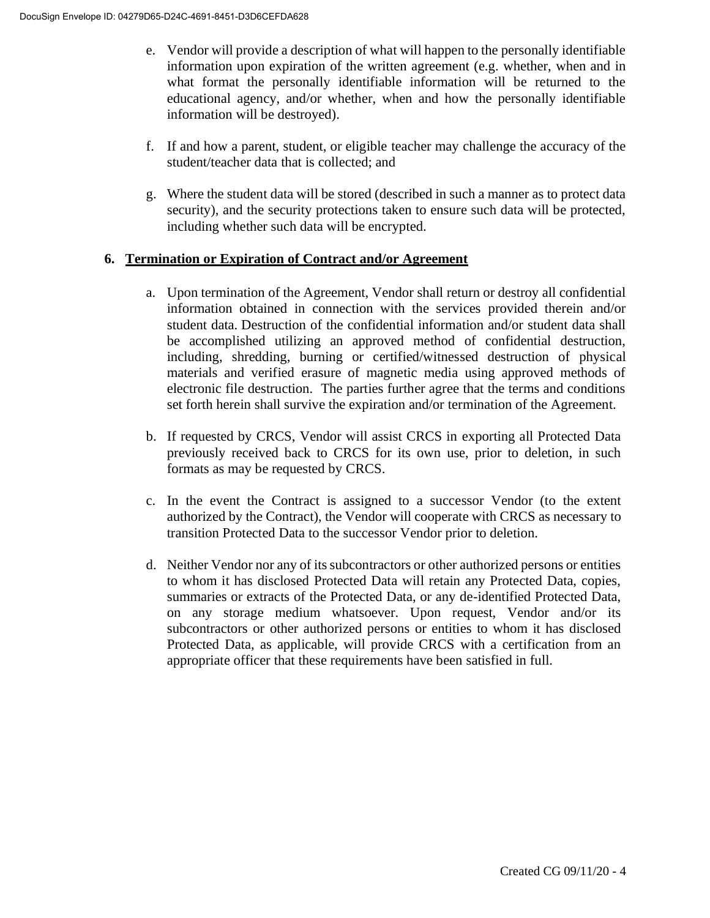- e. Vendor will provide a description of what will happen to the personally identifiable information upon expiration of the written agreement (e.g. whether, when and in what format the personally identifiable information will be returned to the educational agency, and/or whether, when and how the personally identifiable information will be destroyed).
- f. If and how a parent, student, or eligible teacher may challenge the accuracy of the student/teacher data that is collected; and
- g. Where the student data will be stored (described in such a manner as to protect data security), and the security protections taken to ensure such data will be protected, including whether such data will be encrypted.

### **6. Termination or Expiration of Contract and/or Agreement**

- a. Upon termination of the Agreement, Vendor shall return or destroy all confidential information obtained in connection with the services provided therein and/or student data. Destruction of the confidential information and/or student data shall be accomplished utilizing an approved method of confidential destruction, including, shredding, burning or certified/witnessed destruction of physical materials and verified erasure of magnetic media using approved methods of electronic file destruction. The parties further agree that the terms and conditions set forth herein shall survive the expiration and/or termination of the Agreement.
- b. If requested by CRCS, Vendor will assist CRCS in exporting all Protected Data previously received back to CRCS for its own use, prior to deletion, in such formats as may be requested by CRCS.
- c. In the event the Contract is assigned to a successor Vendor (to the extent authorized by the Contract), the Vendor will cooperate with CRCS as necessary to transition Protected Data to the successor Vendor prior to deletion.
- d. Neither Vendor nor any of its subcontractors or other authorized persons or entities to whom it has disclosed Protected Data will retain any Protected Data, copies, summaries or extracts of the Protected Data, or any de-identified Protected Data, on any storage medium whatsoever. Upon request, Vendor and/or its subcontractors or other authorized persons or entities to whom it has disclosed Protected Data, as applicable, will provide CRCS with a certification from an appropriate officer that these requirements have been satisfied in full.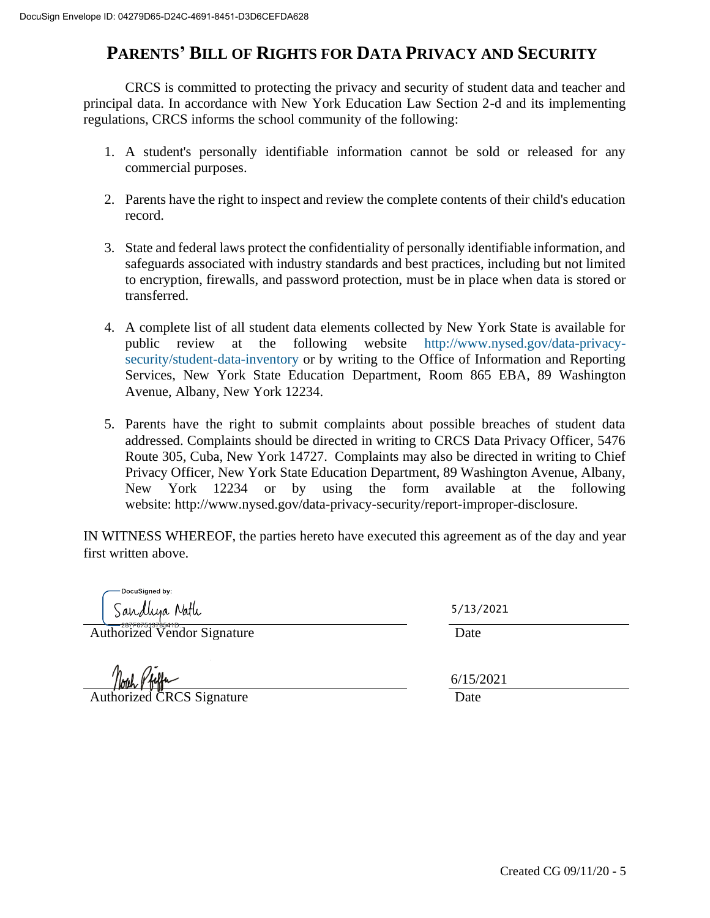# **PARENTS' BILL OF RIGHTS FOR DATA PRIVACY AND SECURITY**

CRCS is committed to protecting the privacy and security of student data and teacher and principal data. In accordance with New York Education Law Section 2-d and its implementing regulations, CRCS informs the school community of the following:

- 1. A student's personally identifiable information cannot be sold or released for any commercial purposes.
- 2. Parents have the right to inspect and review the complete contents of their child's education record.
- 3. State and federal laws protect the confidentiality of personally identifiable information, and safeguards associated with industry standards and best practices, including but not limited to encryption, firewalls, and password protection, must be in place when data is stored or transferred.
- 4. A complete list of all student data elements collected by New York State is available for public review at the following website [http://www.nysed.gov/data-privacy](http://www.nysed.gov/data-privacy-security/student-data-inventory)[security/student-data-inventory](http://www.nysed.gov/data-privacy-security/student-data-inventory) or by writing to the Office of Information and Reporting Services, New York State Education Department, Room 865 EBA, 89 Washington Avenue, Albany, New York 12234.
- 5. Parents have the right to submit complaints about possible breaches of student data addressed. Complaints should be directed in writing to CRCS Data Privacy Officer, 5476 Route 305, Cuba, New York 14727. Complaints may also be directed in writing to Chief Privacy Officer, New York State Education Department, 89 Washington Avenue, Albany, New York 12234 or by using the form available at the following website: [http://www.nysed.gov/data-privacy-security/report-improper-disclosure.](http://www.nysed.gov/data-privacy-security/report-improper-disclosure)

IN WITNESS WHEREOF, the parties hereto have executed this agreement as of the day and year first written above.

**DocuSianed by:** Sandliya Natlı

Authorized Vendor Signature Date

**Authorized CRCS Signature Date** 

5/13/2021 6/15/2021